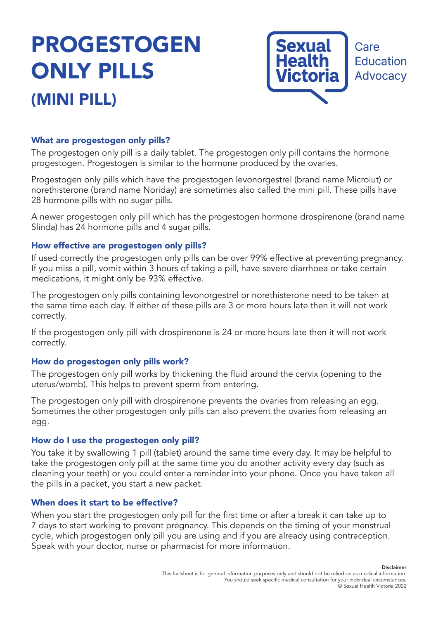# PROGESTOGEN ONLY PILLS (MINI PILL)



## What are progestogen only pills?

The progestogen only pill is a daily tablet. The progestogen only pill contains the hormone progestogen. Progestogen is similar to the hormone produced by the ovaries.

Progestogen only pills which have the progestogen levonorgestrel (brand name Microlut) or norethisterone (brand name Noriday) are sometimes also called the mini pill. These pills have 28 hormone pills with no sugar pills.

A newer progestogen only pill which has the progestogen hormone drospirenone (brand name Slinda) has 24 hormone pills and 4 sugar pills.

#### How effective are progestogen only pills?

If used correctly the progestogen only pills can be over 99% effective at preventing pregnancy. If you miss a pill, vomit within 3 hours of taking a pill, have severe diarrhoea or take certain medications, it might only be 93% effective.

The progestogen only pills containing levonorgestrel or norethisterone need to be taken at the same time each day. If either of these pills are 3 or more hours late then it will not work correctly.

If the progestogen only pill with drospirenone is 24 or more hours late then it will not work correctly.

#### How do progestogen only pills work?

The progestogen only pill works by thickening the fluid around the cervix (opening to the uterus/womb). This helps to prevent sperm from entering.

The progestogen only pill with drospirenone prevents the ovaries from releasing an egg. Sometimes the other progestogen only pills can also prevent the ovaries from releasing an egg.

#### How do I use the progestogen only pill?

You take it by swallowing 1 pill (tablet) around the same time every day. It may be helpful to take the progestogen only pill at the same time you do another activity every day (such as cleaning your teeth) or you could enter a reminder into your phone. Once you have taken all the pills in a packet, you start a new packet.

#### When does it start to be effective?

When you start the progestogen only pill for the first time or after a break it can take up to 7 days to start working to prevent pregnancy. This depends on the timing of your menstrual cycle, which progestogen only pill you are using and if you are already using contraception. Speak with your doctor, nurse or pharmacist for more information.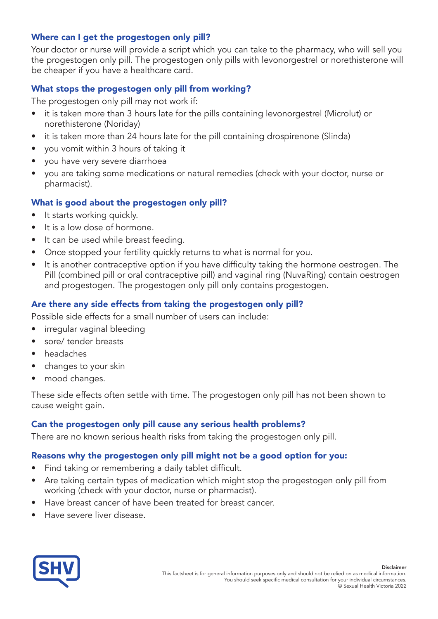# Where can I get the progestogen only pill?

Your doctor or nurse will provide a script which you can take to the pharmacy, who will sell you the progestogen only pill. The progestogen only pills with levonorgestrel or norethisterone will be cheaper if you have a healthcare card.

## What stops the progestogen only pill from working?

The progestogen only pill may not work if:

- it is taken more than 3 hours late for the pills containing levonorgestrel (Microlut) or norethisterone (Noriday)
- it is taken more than 24 hours late for the pill containing drospirenone (Slinda)
- you vomit within 3 hours of taking it
- you have very severe diarrhoea
- you are taking some medications or natural remedies (check with your doctor, nurse or pharmacist).

# What is good about the progestogen only pill?

- It starts working quickly.
- It is a low dose of hormone.
- It can be used while breast feeding.
- Once stopped your fertility quickly returns to what is normal for you.
- It is another contraceptive option if you have difficulty taking the hormone oestrogen. The Pill (combined pill or oral contraceptive pill) and vaginal ring (NuvaRing) contain oestrogen and progestogen. The progestogen only pill only contains progestogen.

## Are there any side effects from taking the progestogen only pill?

Possible side effects for a small number of users can include:

- irregular vaginal bleeding
- sore/ tender breasts
- headaches
- changes to your skin
- mood changes.

These side effects often settle with time. The progestogen only pill has not been shown to cause weight gain.

#### Can the progestogen only pill cause any serious health problems?

There are no known serious health risks from taking the progestogen only pill.

## Reasons why the progestogen only pill might not be a good option for you:

- Find taking or remembering a daily tablet difficult.
- Are taking certain types of medication which might stop the progestogen only pill from working (check with your doctor, nurse or pharmacist).
- Have breast cancer of have been treated for breast cancer.
- Have severe liver disease.